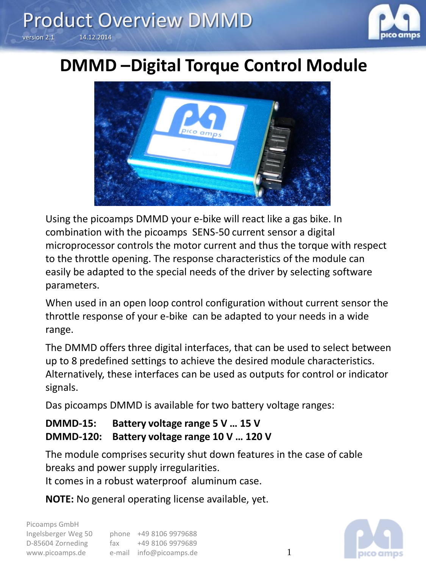

## **DMMD –Digital Torque Control Module**



Using the picoamps DMMD your e-bike will react like a gas bike. In combination with the picoamps SENS-50 current sensor a digital microprocessor controls the motor current and thus the torque with respect to the throttle opening. The response characteristics of the module can easily be adapted to the special needs of the driver by selecting software parameters.

When used in an open loop control configuration without current sensor the throttle response of your e-bike can be adapted to your needs in a wide range.

The DMMD offers three digital interfaces, that can be used to select between up to 8 predefined settings to achieve the desired module characteristics. Alternatively, these interfaces can be used as outputs for control or indicator signals.

Das picoamps DMMD is available for two battery voltage ranges:

#### **DMMD-15: Battery voltage range 5 V … 15 V DMMD-120: Battery voltage range 10 V … 120 V**

The module comprises security shut down features in the case of cable breaks and power supply irregularities.

It comes in a robust waterproof aluminum case.

**NOTE:** No general operating license available, yet.

| Picoamps GmbH       |     |                         |
|---------------------|-----|-------------------------|
| Ingelsberger Weg 50 |     | phone +49 8106 9979688  |
| D-85604 Zorneding   | fax | +49 8106 9979689        |
| www.picoamps.de     |     | e-mail info@picoamps.de |

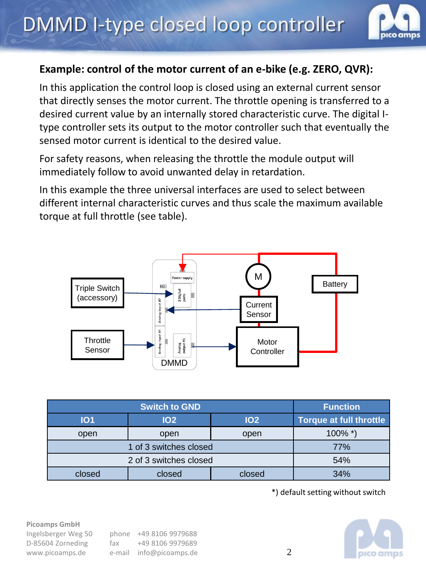

#### **Example: control of the motor current of an e-bike (e.g. ZERO, QVR):**

In this application the control loop is closed using an external current sensor that directly senses the motor current. The throttle opening is transferred to a desired current value by an internally stored characteristic curve. The digital Itype controller sets its output to the motor controller such that eventually the sensed motor current is identical to the desired value.

For safety reasons, when releasing the throttle the module output will immediately follow to avoid unwanted delay in retardation.

In this example the three universal interfaces are used to select between different internal characteristic curves and thus scale the maximum available torque at full throttle (see table).



| <b>Switch to GND</b>   |            |            | <b>Function</b>                |
|------------------------|------------|------------|--------------------------------|
| <b>IO1</b>             | <b>102</b> | <b>102</b> | <b>Torque at full throttle</b> |
| open                   | open       | open       | $100\%$ *)                     |
| 1 of 3 switches closed |            |            | 77%                            |
| 2 of 3 switches closed |            |            | 54%                            |
| closed                 | closed     | closed     | 34%                            |

\*) default setting without switch



#### **Picoamps GmbH**

| Ingelsberger Weg 50 |
|---------------------|
| D-85604 Zorneding   |
| www.picoamps.de     |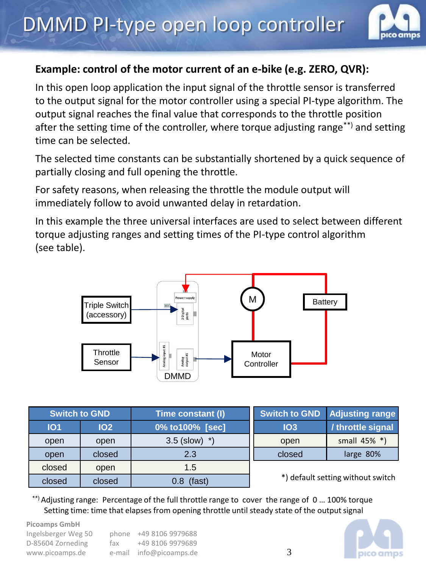

#### **Example: control of the motor current of an e-bike (e.g. ZERO, QVR):**

In this open loop application the input signal of the throttle sensor is transferred to the output signal for the motor controller using a special PI-type algorithm. The output signal reaches the final value that corresponds to the throttle position after the setting time of the controller, where torque adjusting range<sup>\*\*)</sup> and setting time can be selected.

The selected time constants can be substantially shortened by a quick sequence of partially closing and full opening the throttle.

For safety reasons, when releasing the throttle the module output will immediately follow to avoid unwanted delay in retardation.

In this example the three universal interfaces are used to select between different torque adjusting ranges and setting times of the PI-type control algorithm (see table).



| <b>Switch to GND</b> |            | Time constant (I)  | <b>Switch to GND</b>              | <b>Adjusting range</b> |
|----------------------|------------|--------------------|-----------------------------------|------------------------|
| <b>101</b>           | <b>102</b> | 0% to 100% [sec]   | IO3                               | / throttle signal      |
| open                 | open       | $3.5$ (slow) $*$ ) | open                              | small 45% *)           |
| open                 | closed     | 2.3                | closed                            | large 80%              |
| closed               | open       | 1.5                | *) default setting without switch |                        |
| closed               | closed     | (fast)             |                                   |                        |

\*\*) Adjusting range: Percentage of the full throttle range to cover the range of 0 … 100% torque Setting time: time that elapses from opening throttle until steady state of the output signal

**Picoamps GmbH** Ingelsberger Weg 50 phone +49 8106 9979688 D-85604 Zorneding fax +49 8106 9979689 www.picoamps.de e-mail info@picoamps.de

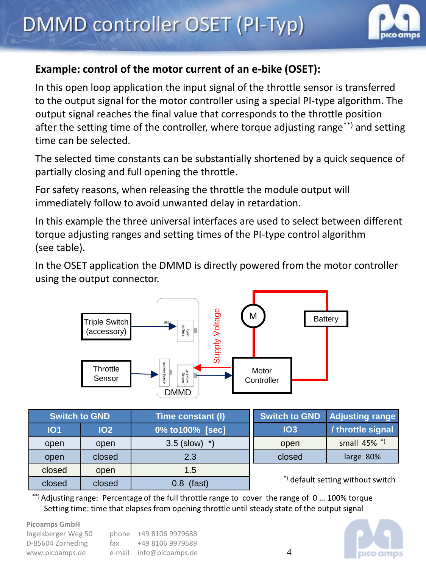

#### **Example: control of the motor current of an e-bike (OSET):**

In this open loop application the input signal of the throttle sensor is transferred to the output signal for the motor controller using a special PI-type algorithm. The output signal reaches the final value that corresponds to the throttle position after the setting time of the controller, where torque adjusting range<sup>\*\*)</sup> and setting time can be selected.

The selected time constants can be substantially shortened by a quick sequence of partially closing and full opening the throttle.

For safety reasons, when releasing the throttle the module output will immediately follow to avoid unwanted delay in retardation.

In this example the three universal interfaces are used to select between different torque adjusting ranges and setting times of the PI-type control algorithm (see table).

In the OSET application the DMMD is directly powered from the motor controller using the output connector.



|            | <b>Switch to GND</b> | Time constant (I)  | <b>Switch to GND</b>              | <b>Adjusting range</b> |
|------------|----------------------|--------------------|-----------------------------------|------------------------|
| <b>101</b> | <b>102</b>           | 0% to 100% [sec]   | IO3                               | / throttle signal      |
| open       | open                 | $3.5$ (slow) $*$ ) | open                              | small 45% *)           |
| open       | closed               | 2.3                | closed                            | large 80%              |
| closed     | open                 | 1.5                | *) default setting without switch |                        |
| closed     | closed               | (fast)             |                                   |                        |

\*\*) Adjusting range: Percentage of the full throttle range to cover the range of 0 … 100% torque Setting time: time that elapses from opening throttle until steady state of the output signal

**Picoamps GmbH**

Ingelsberger Weg 50 phone +49 8106 9979688 D-85604 Zorneding fax +49 8106 9979689 www.picoamps.de e-mail info@picoamps.de

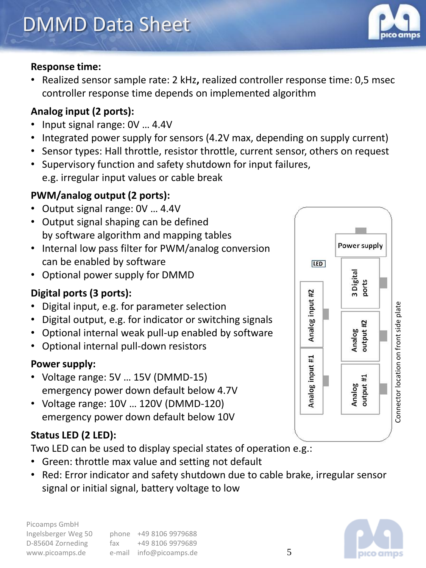#### **Response time:**

• Realized sensor sample rate: 2 kHz**,** realized controller response time: 0,5 msec controller response time depends on implemented algorithm

#### **Analog input (2 ports):**

- Input signal range: 0V … 4.4V
- Integrated power supply for sensors (4.2V max, depending on supply current)
- Sensor types: Hall throttle, resistor throttle, current sensor, others on request
- Supervisory function and safety shutdown for input failures, e.g. irregular input values or cable break

#### **PWM/analog output (2 ports):**

- Output signal range: 0V … 4.4V
- Output signal shaping can be defined by software algorithm and mapping tables
- Internal low pass filter for PWM/analog conversion can be enabled by software
- Optional power supply for DMMD

#### **Digital ports (3 ports):**

- Digital input, e.g. for parameter selection
- Digital output, e.g. for indicator or switching signals
- Optional internal weak pull-up enabled by software
- Optional internal pull-down resistors

#### **Power supply:**

- Voltage range: 5V … 15V (DMMD-15) emergency power down default below 4.7V
- Voltage range: 10V … 120V (DMMD-120) emergency power down default below 10V

#### **Status LED (2 LED):**

Two LED can be used to display special states of operation e.g.:

- Green: throttle max value and setting not default
- Red: Error indicator and safety shutdown due to cable brake, irregular sensor signal or initial signal, battery voltage to low





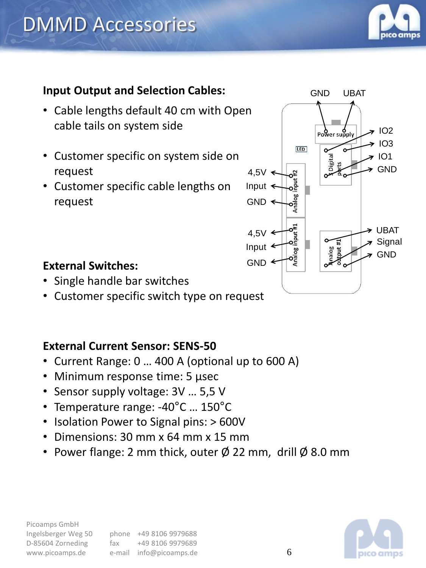

### **Input Output and Selection Cables:**

- Cable lengths default 40 cm with Open cable tails on system side
- Customer specific on system side on request
- Customer specific cable lengths on request



#### **External Switches:**

- Single handle bar switches
- Customer specific switch type on request

#### **External Current Sensor: SENS-50**

- Current Range: 0 … 400 A (optional up to 600 A)
- Minimum response time: 5 µsec
- Sensor supply voltage: 3V … 5,5 V
- Temperature range: -40°C … 150°C
- Isolation Power to Signal pins: > 600V
- Dimensions: 30 mm x 64 mm x 15 mm
- Power flange: 2 mm thick, outer  $\emptyset$  22 mm, drill  $\emptyset$  8.0 mm